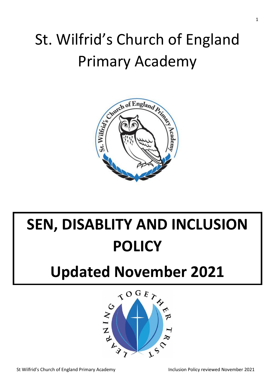# St. Wilfrid's Church of England Primary Academy



# **SEN, DISABLITY AND INCLUSION POLICY**

# **Updated November 2021**

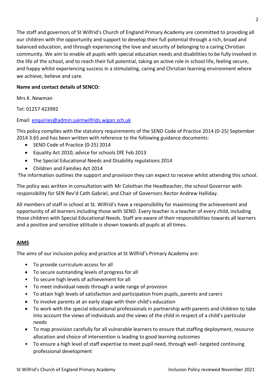The staff and governors of St Wilfrid's Church of England Primary Academy are committed to providing all our children with the opportunity and support to develop their full potential through a rich, broad and balanced education, and through experiencing the love and security of belonging to a caring Christian community. We aim to enable all pupils with special education needs and disabilities to be fully involved in the life of the school, and to reach their full potential, taking an active role in school life, feeling secure, and happy whilst experiencing success in a stimulating, caring and Christian learning environment where we achieve, believe and care.

# **Name and contact details of SENCO:**

Mrs K. Newman

Tel: 01257 423992

# Email: [enquiries@admin.saintwilfrids.wigan.sch.uk](mailto:enquiries@admin.saintwilfrids.wigan.sch.uk)

This policy complies with the statutory requirements of the SEND Code of Practice 2014 (0-25) September 2014 3.65 and has been written with reference to the following guidance documents:

- SEND Code of Practice (0-25) 2014
- Equality Act 2010; advice for schools DfE Feb 2013
- The Special Educational Needs and Disability regulations 2014
- Children and Families Act 2014

The information outlines the support and provision they can expect to receive whilst attending this school.

The policy was written in consultation with Mr Colothan the Headteacher, the school Governor with responsibility for SEN Rev'd Cath Gabriel, and Chair of Governors Rector Andrew Halliday.

All members of staff in school at St. Wilfrid's have a responsibility for maximising the achievement and opportunity of all learners including those with SEND. Every teacher is a teacher of every child, including those children with Special Educational Needs. Staff are aware of their responsibilities towards all learners and a positive and sensitive attitude is shown towards all pupils at all times.

# **AIMS**

The aims of our inclusion policy and practice at St Wilfrid's Primary Academy are:

- To provide curriculum access for all
- To secure outstanding levels of progress for all
- To secure high levels of achievement for all
- To meet individual needs through a wide range of provision
- To attain high levels of satisfaction and participation from pupils, parents and carers
- To involve parents at an early stage with their child's education
- To work with the special educational professionals in partnership with parents and children to take into account the views of individuals and the views of the child in respect of a child's particular needs
- To map provision carefully for all vulnerable learners to ensure that staffing deployment, resource allocation and choice of intervention is leading to good learning outcomes
- To ensure a high level of staff expertise to meet pupil need, through well -targeted continuing professional development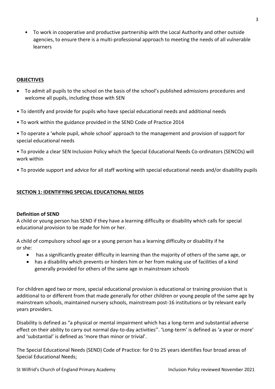• To work in cooperative and productive partnership with the Local Authority and other outside agencies, to ensure there is a multi-professional approach to meeting the needs of all vulnerable learners

#### **OBJECTIVES**

- To admit all pupils to the school on the basis of the school's published admissions procedures and welcome all pupils, including those with SEN
- To identify and provide for pupils who have special educational needs and additional needs
- To work within the guidance provided in the SEND Code of Practice 2014
- To operate a 'whole pupil, whole school' approach to the management and provision of support for special educational needs

• To provide a clear SEN Inclusion Policy which the Special Educational Needs Co-ordinators (SENCOs) will work within

• To provide support and advice for all staff working with special educational needs and/or disability pupils

#### **SECTION 1: IDENTIFYING SPECIAL EDUCATIONAL NEEDS**

#### **Definition of SEND**

A child or young person has SEND if they have a learning difficulty or disability which calls for special educational provision to be made for him or her.

A child of compulsory school age or a young person has a learning difficulty or disability if he or she:

- has a significantly greater difficulty in learning than the majority of others of the same age, or
- has a disability which prevents or hinders him or her from making use of facilities of a kind generally provided for others of the same age in mainstream schools

For children aged two or more, special educational provision is educational or training provision that is additional to or different from that made generally for other children or young people of the same age by mainstream schools, maintained nursery schools, mainstream post-16 institutions or by relevant early years providers.

Disability is defined as "a physical or mental impairment which has a long-term and substantial adverse effect on their ability to carry out normal day-to-day activities''. 'Long-term' is defined as 'a year or more' and 'substantial' is defined as 'more than minor or trivial'.

The Special Educational Needs (SEND) Code of Practice: for 0 to 25 years identifies four broad areas of Special Educational Needs;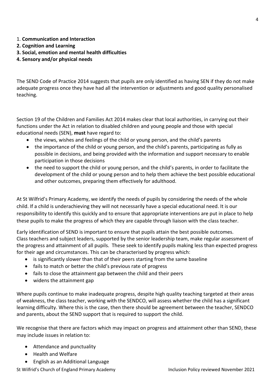- 1. **Communication and Interaction**
- **2. Cognition and Learning**
- **3. Social, emotion and mental health difficulties**
- **4. Sensory and/or physical needs**

The SEND Code of Practice 2014 suggests that pupils are only identified as having SEN if they do not make adequate progress once they have had all the intervention or adjustments and good quality personalised teaching.

Section 19 of the Children and Families Act 2014 makes clear that local authorities, in carrying out their functions under the Act in relation to disabled children and young people and those with special educational needs (SEN), **must** have regard to:

- the views, wishes and feelings of the child or young person, and the child's parents
- the importance of the child or young person, and the child's parents, participating as fully as possible in decisions, and being provided with the information and support necessary to enable participation in those decisions
- the need to support the child or young person, and the child's parents, in order to facilitate the development of the child or young person and to help them achieve the best possible educational and other outcomes, preparing them effectively for adulthood.

At St Wilfrid's Primary Academy, we identify the needs of pupils by considering the needs of the whole child. If a child is underachieving they will not necessarily have a special educational need. It is our responsibility to identify this quickly and to ensure that appropriate interventions are put in place to help these pupils to make the progress of which they are capable through liaison with the class teacher.

Early identification of SEND is important to ensure that pupils attain the best possible outcomes. Class teachers and subject leaders, supported by the senior leadership team, make regular assessment of the progress and attainment of all pupils. These seek to identify pupils making less than expected progress for their age and circumstances. This can be characterised by progress which:

- is significantly slower than that of their peers starting from the same baseline
- fails to match or better the child's previous rate of progress
- fails to close the attainment gap between the child and their peers
- widens the attainment gap

Where pupils continue to make inadequate progress, despite high quality teaching targeted at their areas of weakness, the class teacher, working with the SENDCO, will assess whether the child has a significant learning difficulty. Where this is the case, then there should be agreement between the teacher, SENDCO and parents, about the SEND support that is required to support the child.

We recognise that there are factors which may impact on progress and attainment other than SEND, these may include issues in relation to:

- Attendance and punctuality
- Health and Welfare
- English as an Additional Language

St Wilfrid's Church of England Primary Academy **Inclusion Policy reviewed November 2021**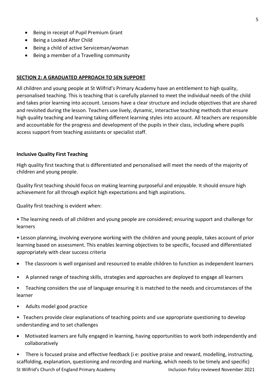- Being in receipt of Pupil Premium Grant
- Being a Looked After Child
- Being a child of active Serviceman/woman
- Being a member of a Travelling community

#### **SECTION 2: A GRADUATED APPROACH TO SEN SUPPORT**

All children and young people at St Wilfrid's Primary Academy have an entitlement to high quality, personalised teaching. This is teaching that is carefully planned to meet the individual needs of the child and takes prior learning into account. Lessons have a clear structure and include objectives that are shared and revisited during the lesson. Teachers use lively, dynamic, interactive teaching methods that ensure high quality teaching and learning taking different learning styles into account. All teachers are responsible and accountable for the progress and development of the pupils in their class, including where pupils access support from teaching assistants or specialist staff.

#### **Inclusive Quality First Teaching**

High quality first teaching that is differentiated and personalised will meet the needs of the majority of children and young people.

Quality first teaching should focus on making learning purposeful and enjoyable. It should ensure high achievement for all through explicit high expectations and high aspirations.

Quality first teaching is evident when:

• The learning needs of all children and young people are considered; ensuring support and challenge for learners

• Lesson planning, involving everyone working with the children and young people, takes account of prior learning based on assessment. This enables learning objectives to be specific, focused and differentiated appropriately with clear success criteria

- The classroom is well organised and resourced to enable children to function as independent learners
- A planned range of teaching skills, strategies and approaches are deployed to engage all learners

• Teaching considers the use of language ensuring it is matched to the needs and circumstances of the learner

- Adults model good practice
- Teachers provide clear explanations of teaching points and use appropriate questioning to develop understanding and to set challenges
- Motivated learners are fully engaged in learning, having opportunities to work both independently and collaboratively

St Wilfrid's Church of England Primary Academy Inclusion Policy reviewed November 2021 • There is focused praise and effective feedback (i e: positive praise and reward, modelling, instructing, scaffolding, explanation, questioning and recording and marking, which needs to be timely and specific)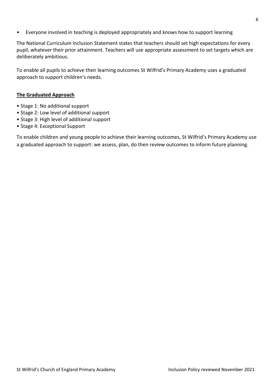• Everyone involved in teaching is deployed appropriately and knows how to support learning

The National Curriculum Inclusion Statement states that teachers should set high expectations for every pupil, whatever their prior attainment. Teachers will use appropriate assessment to set targets which are deliberately ambitious.

To enable all pupils to achieve their learning outcomes St Wilfrid's Primary Academy uses a graduated approach to support children's needs.

#### **The Graduated Approach**

- Stage 1: No additional support
- Stage 2: Low level of additional support
- Stage 3: High level of additional support
- Stage 4: Exceptional Support

To enable children and young people to achieve their learning outcomes, St Wilfrid's Primary Academy use a graduated approach to support: we assess, plan, do then review outcomes to inform future planning.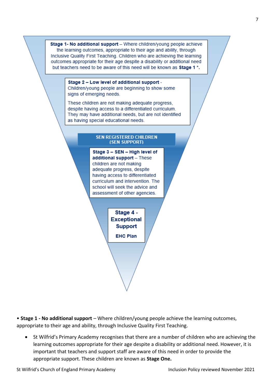Stage 1- No additional support - Where children/young people achieve the learning outcomes, appropriate to their age and ability, through Inclusive Quality First Teaching. Children who are achieving the learning outcomes appropriate for their age despite a disability or additional need but teachers need to be aware of this need will be known as Stage 1<sup>\*</sup>.

Stage 2 - Low level of additional support -

Children/young people are beginning to show some signs of emerging needs.

These children are not making adequate progress, despite having access to a differentiated curriculum. They may have additional needs, but are not identified as having special educational needs.

#### **SEN REGISTERED CHILDREN** (SEN SUPPORT)

Stage 3 - SEN - High level of additional support - These children are not making adequate progress, despite having access to differentiated curriculum and intervention. The school will seek the advice and assessment of other agencies.

> Stage 4 -**Exceptional Support EHC Plan**

• **Stage 1 - No additional support** – Where children/young people achieve the learning outcomes, appropriate to their age and ability, through Inclusive Quality First Teaching.

• St Wilfrid's Primary Academy recognises that there are a number of children who are achieving the learning outcomes appropriate for their age despite a disability or additional need. However, it is important that teachers and support staff are aware of this need in order to provide the appropriate support. These children are known as **Stage One.**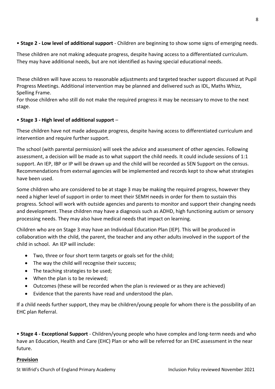# • **Stage 2 - Low level of additional support** - Children are beginning to show some signs of emerging needs.

These children are not making adequate progress, despite having access to a differentiated curriculum. They may have additional needs, but are not identified as having special educational needs.

These children will have access to reasonable adjustments and targeted teacher support discussed at Pupil Progress Meetings. Additional intervention may be planned and delivered such as IDL, Maths Whizz, Spelling Frame.

For those children who still do not make the required progress it may be necessary to move to the next stage.

# • **Stage 3 - High level of additional support** –

These children have not made adequate progress, despite having access to differentiated curriculum and intervention and require further support.

The school (with parental permission) will seek the advice and assessment of other agencies. Following assessment, a decision will be made as to what support the child needs. It could include sessions of 1:1 support. An IEP, IBP or IP will be drawn up and the child will be recorded as SEN Support on the census. Recommendations from external agencies will be implemented and records kept to show what strategies have been used.

Some children who are considered to be at stage 3 may be making the required progress, however they need a higher level of support in order to meet their SEMH needs in order for them to sustain this progress. School will work with outside agencies and parents to monitor and support their changing needs and development. These children may have a diagnosis such as ADHD, high functioning autism or sensory processing needs. They may also have medical needs that impact on learning.

Children who are on Stage 3 may have an Individual Education Plan (IEP). This will be produced in collaboration with the child, the parent, the teacher and any other adults involved in the support of the child in school. An IEP will include:

- Two, three or four short term targets or goals set for the child;
- The way the child will recognise their success;
- The teaching strategies to be used;
- When the plan is to be reviewed;
- Outcomes (these will be recorded when the plan is reviewed or as they are achieved)
- Evidence that the parents have read and understood the plan.

If a child needs further support, they may be children/young people for whom there is the possibility of an EHC plan Referral.

• **Stage 4 - Exceptional Support** - Children/young people who have complex and long-term needs and who have an Education, Health and Care (EHC) Plan or who will be referred for an EHC assessment in the near future.

# **Provision**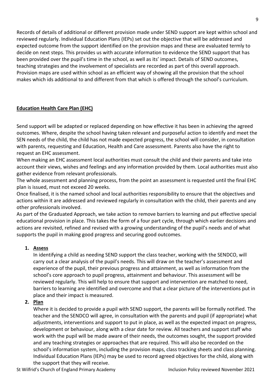Records of details of additional or different provision made under SEND support are kept within school and reviewed regularly. Individual Education Plans (IEPs) set out the objective that will be addressed and expected outcome from the support identified on the provision maps and these are evaluated termly to decide on next steps. This provides us with accurate information to evidence the SEND support that has been provided over the pupil's time in the school, as well as its' impact. Details of SEND outcomes, teaching strategies and the involvement of specialists are recorded as part of this overall approach. Provision maps are used within school as an efficient way of showing all the provision that the school makes which ids additional to and different from that which is offered through the school's curriculum.

# **Education Health Care Plan (EHC)**

Send support will be adapted or replaced depending on how effective it has been in achieving the agreed outcomes. Where, despite the school having taken relevant and purposeful action to identify and meet the SEN needs of the child, the child has not made expected progress, the school will consider, in consultation with parents, requesting and Education, Health and Care assessment. Parents also have the right to request an EHC assessment.

When making an EHC assessment local authorities must consult the child and their parents and take into account their views, wishes and feelings and any information provided by them. Local authorities must also gather evidence from relevant professionals.

The whole assessment and planning process, from the point an assessment is requested until the final EHC plan is issued, must not exceed 20 weeks.

Once finalised, it is the named school and local authorities responsibility to ensure that the objectives and actions within it are addressed and reviewed regularly in consultation with the child, their parents and any other professionals involved.

As part of the Graduated Approach, we take action to remove barriers to learning and put effective special educational provision in place. This takes the form of a four part cycle, through which earlier decisions and actions are revisited, refined and revised with a growing understanding of the pupil's needs and of what supports the pupil in making good progress and securing good outcomes.

# **1. Assess**

In identifying a child as needing SEND support the class teacher, working with the SENDCO, will carry out a clear analysis of the pupil's needs. This will draw on the teacher's assessment and experience of the pupil, their previous progress and attainment, as well as information from the school's core approach to pupil progress, attainment and behaviour. This assessment will be reviewed regularly. This will help to ensure that support and intervention are matched to need, barriers to learning are identified and overcome and that a clear picture of the interventions put in place and their impact is measured.

# **2. Plan**

Where it is decided to provide a pupil with SEND support, the parents will be formally notified. The teacher and the SENDCO will agree, in consultation with the parents and pupil (if appropriate) what adjustments, interventions and support to put in place, as well as the expected impact on progress, development or behaviour, along with a clear date for review. All teachers and support staff who work with the pupil will be made aware of their needs, the outcomes sought, the support provided and any teaching strategies or approaches that are required. This will also be recorded on the school's information system, including the provision maps, class tracking sheets and class planning. Individual Education Plans (IEPs) may be used to record agreed objectives for the child, along with the support that they will receive.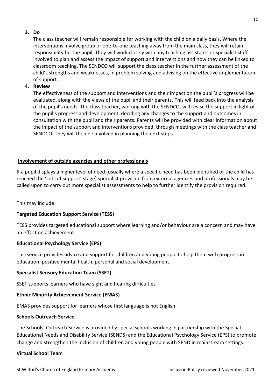# **3. Do**

The class teacher will remain responsible for working with the child on a daily basis. Where the interventions involve group or one-to-one teaching away from the main class, they will retain responsibility for the pupil. They will work closely with any teaching assistants or specialist staff involved to plan and assess the impact of support and interventions and how they can be linked to classroom teaching. The SENDCO will support the class teacher in the further assessment of the child's strengths and weaknesses, in problem solving and advising on the effective implementation of support.

# **4. Review**

The effectiveness of the support and interventions and their impact on the pupil's progress will be evaluated, along with the views of the pupil and their parents. This will feed back into the analysis of the pupil's needs. The class teacher, working with the SENDCO, will revise the support in light of the pupil's progress and development, deciding any changes to the support and outcomes in consultation with the pupil and their parents. Parents will be provided with clear information about the impact of the support and interventions provided, through meetings with the class teacher and SENDCO. They will then be involved in planning the next steps.

# **Involvement of outside agencies and other professionals**

If a pupil displays a higher level of need (usually where a specific need has been identified or the child has reached the 'Lots of support' stage) specialist provision from external agencies and professionals may be called upon to carry out more specialist assessments to help to further identify the provision required.

This may include:

# **Targeted Education Support Service (TESS**)

TESS provides targeted educational support where learning and/or behaviour are a concern and may have an effect on achievement.

# **Educational Psychology Service (EPS)**

This service provides advice and support for children and young people to help them with progress in education, positive mental health, personal and social development.

#### **Specialist Sensory Education Team (SSET)**

SSET supports learners who have sight and hearing difficulties

#### **Ethnic Minority Achievement Service (EMAS)**

EMAS provides support for learners whose first language is not English

#### **Schools Outreach Service**

The Schools' Outreach Service is provided by special schools working in partnership with the Special Educational Needs and Disability Service (SENDS) and the Educational Psychology Service (EPS) to promote change and strengthen the inclusion of children and young people with SEND in mainstream settings.

#### **Virtual School Team**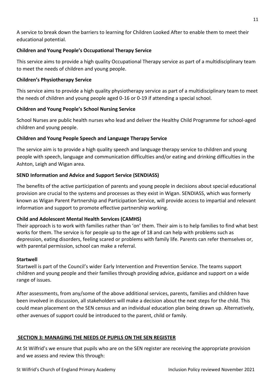A service to break down the barriers to learning for Children Looked After to enable them to meet their educational potential.

# **Children and Young People's Occupational Therapy Service**

This service aims to provide a high quality Occupational Therapy service as part of a multidisciplinary team to meet the needs of children and young people.

# **Children's Physiotherapy Service**

This service aims to provide a high quality physiotherapy service as part of a multidisciplinary team to meet the needs of children and young people aged 0-16 or 0-19 if attending a special school.

# **Children and Young People's School Nursing Service**

School Nurses are public health nurses who lead and deliver the Healthy Child Programme for school-aged children and young people.

# **Children and Young People Speech and Language Therapy Service**

The service aim is to provide a high quality speech and language therapy service to children and young people with speech, language and communication difficulties and/or eating and drinking difficulties in the Ashton, Leigh and Wigan area.

# **SEND Information and Advice and Support Service (SENDIASS)**

The benefits of the active participation of parents and young people in decisions about special educational provision are crucial to the systems and processes as they exist in Wigan. SENDIASS, which was formerly known as Wigan Parent Partnership and Participation Service, will provide access to impartial and relevant information and support to promote effective partnership working.

# **Child and Adolescent Mental Health Services (CAMHS)**

Their approach is to work with families rather than 'on' them. Their aim is to help families to find what best works for them. The service is for people up to the age of 18 and can help with problems such as depression, eating disorders, feeling scared or problems with family life. Parents can refer themselves or, with parental permission, school can make a referral.

# **Startwell**

Startwell is part of the Council's wider Early Intervention and Prevention Service. The teams support children and young people and their families through providing advice, guidance and support on a wide range of issues.

After assessments, from any/some of the above additional services, parents, families and children have been involved in discussion, all stakeholders will make a decision about the next steps for the child. This could mean placement on the SEN census and an individual education plan being drawn up. Alternatively, other avenues of support could be introduced to the parent, child or family.

# **SECTION 3: MANAGING THE NEEDS OF PUPILS ON THE SEN REGISTER**

At St Wilfrid's we ensure that pupils who are on the SEN register are receiving the appropriate provision and we assess and review this through: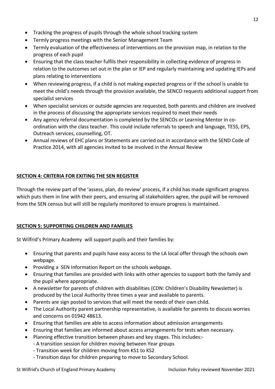- Tracking the progress of pupils through the whole school tracking system
- Termly progress meetings with the Senior Management Team
- Termly evaluation of the effectiveness of interventions on the provision map, in relation to the progress of each pupil
- Ensuring that the class teacher fulfils their responsibility in collecting evidence of progress in relation to the outcomes set out in the plan or IEP and regularly maintaining and updating IEPs and plans relating to interventions
- When reviewing progress, if a child is not making expected progress or if the school is unable to meet the child's needs through the provision available, the SENCO requests additional support from specialist services
- When specialist services or outside agencies are requested, both parents and children are involved in the process of discussing the appropriate services required to meet their needs
- Any agency referral documentation is completed by the SENCOs or Learning Mentor in coordination with the class teacher. This could include referrals to speech and language, TESS, EPS, Outreach services, counselling, OT.
- Annual reviews of EHC plans or Statements are carried out in accordance with the SEND Code of Practice 2014, with all agencies invited to be involved in the Annual Review

# **SECTION 4: CRITERIA FOR EXITING THE SEN REGISTER**

Through the review part of the 'assess, plan, do review' process, if a child has made significant progress which puts them in line with their peers, and ensuring all stakeholders agree, the pupil will be removed from the SEN census but will still be regularly monitored to ensure progress is maintained.

# **SECTION 5: SUPPORTING CHILDREN AND FAMILIES**

St Wilfrid's Primary Academy will support pupils and their families by:

- Ensuring that parents and pupils have easy access to the LA local offer through the schools own webpage.
- Providing a SEN Information Report on the schools webpage.
- Ensuring that families are provided with links with other agencies to support both the family and the pupil where appropriate.
- A newsletter for parents of children with disabilities (CDN: Children's Disability Newsletter) is produced by the Local Authority three times a year and available to parents.
- Parents are sign posted to services that will meet the needs of their own child.
- The Local Authority parent partnership representative, is available for parents to discuss worries and concerns on 01942 48613.
- Ensuring that families are able to access information about admission arrangements
- Ensuring that families are informed about access arrangements for tests when necessary.
- Planning effective transition between phases and key stages. This includes:-
	- A transition session for children moving between Year groups
	- Transition week for children moving from KS1 to KS2
	- Transition days for children preparing to move to Secondary School.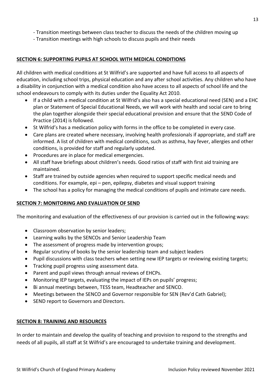- Transition meetings with high schools to discuss pupils and their needs

# **SECTION 6: SUPPORTING PUPILS AT SCHOOL WITH MEDICAL CONDITIONS**

All children with medical conditions at St Wilfrid's are supported and have full access to all aspects of education, including school trips, physical education and any after school activities. Any children who have a disability in conjunction with a medical condition also have access to all aspects of school life and the school endeavours to comply with its duties under the Equality Act 2010.

- If a child with a medical condition at St Wilfrid's also has a special educational need (SEN) and a EHC plan or Statement of Special Educational Needs, we will work with health and social care to bring the plan together alongside their special educational provision and ensure that the SEND Code of Practice (2014) is followed.
- St Wilfrid's has a medication policy with forms in the office to be completed in every case.
- Care plans are created where necessary, involving health professionals if appropriate, and staff are informed. A list of children with medical conditions, such as asthma, hay fever, allergies and other conditions, is provided for staff and regularly updated.
- Procedures are in place for medical emergencies.
- All staff have briefings about children's needs. Good ratios of staff with first aid training are maintained.
- Staff are trained by outside agencies when required to support specific medical needs and conditions. For example, epi – pen, epilepsy, diabetes and visual support training
- The school has a policy for managing the medical conditions of pupils and intimate care needs.

# **SECTION 7: MONITORING AND EVALUATION OF SEND**

The monitoring and evaluation of the effectiveness of our provision is carried out in the following ways:

- Classroom observation by senior leaders;
- Learning walks by the SENCOs and Senior Leadership Team
- The assessment of progress made by intervention groups;
- Regular scrutiny of books by the senior leadership team and subject leaders
- Pupil discussions with class teachers when setting new IEP targets or reviewing existing targets;
- Tracking pupil progress using assessment data.
- Parent and pupil views through annual reviews of EHCPs.
- Monitoring IEP targets, evaluating the impact of IEPs on pupils' progress;
- Bi annual meetings between, TESS team, Headteacher and SENCO.
- Meetings between the SENCO and Governor responsible for SEN (Rev'd Cath Gabriel);
- SEND report to Governors and Directors.

# **SECTION 8: TRAINING AND RESOURCES**

In order to maintain and develop the quality of teaching and provision to respond to the strengths and needs of all pupils, all staff at St Wilfrid's are encouraged to undertake training and development.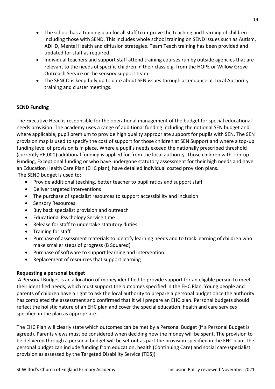- The school has a training plan for all staff to improve the teaching and learning of children including those with SEND. This includes whole school training on SEND issues such as Autism, ADHD, Mental Health and diffusion strategies. Team Teach training has been provided and updated for staff as required.
- Individual teachers and support staff attend training courses run by outside agencies that are relevant to the needs of specific children in their class e.g. from the HOPE or Willow Grove Outreach Service or the sensory support team
- The SENCO is keep fully up to date about SEN issues through attendance at Local Authority training and cluster meetings.

# **SEND Funding**

The Executive Head is responsible for the operational management of the budget for special educational needs provision. The academy uses a range of additional funding including the notional SEN budget and, where applicable, pupil premium to provide high quality appropriate support for pupils with SEN. The SEN provision map is used to specify the cost of support for those children at SEN Support and where a top-up funding level of provision is in place. Where a pupil's needs exceed the nationally prescribed threshold (currently £6,000) additional funding is applied for from the local authority. Those children with Top-up Funding, Exceptional funding or who have undergone statutory assessment for their high needs and have an Education Health Care Plan (EHC plan), have detailed individual costed provision plans. The SEND budget is used to:

- Provide additional teaching, better teacher to pupil ratios and support staff
- Deliver targeted interventions
- The purchase of specialist resources to support accessibility and inclusion
- Sensory Resources
- Buy back specialist provision and outreach
- Educational Psychology Service time
- Release for staff to undertake statutory duties
- Training for staff
- Purchase of assessment materials to identify learning needs and to track learning of children who make smaller steps of progress (B Squared)
- Purchase of software to support learning and intervention
- Replacement of resources that support learning

# **Requesting a personal budget**

A Personal Budget is an allocation of money identified to provide support for an eligible person to meet their identified needs, which must support the outcomes specified in the EHC Plan. Young people and parents of children have a right to ask the local authority to prepare a personal budget once the authority has completed the assessment and confirmed that it will prepare an EHC plan. Personal budgets should reflect the holistic nature of an EHC plan and cover the special education, health and care services specified in the plan as appropriate.

The EHC Plan will clearly state which outcomes can be met by a Personal Budget (if a Personal Budget is agreed). Parents views must be considered when deciding how the money will be spent. The provision to be delivered through a personal budget will be set out as part the provision specified in the EHC plan. The personal budget can include funding from education, health (Continuing Care) and social care (specialist provision as assessed by the Targeted Disability Service (TDS))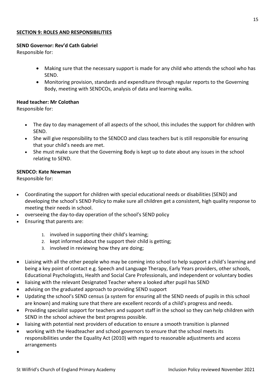#### **SECTION 9: ROLES AND RESPONSIBILITIES**

#### **SEND Governor: Rev'd Cath Gabriel**

Responsible for:

- Making sure that the necessary support is made for any child who attends the school who has SEND.
- Monitoring provision, standards and expenditure through regular reports to the Governing Body, meeting with SENDCOs, analysis of data and learning walks.

#### **Head teacher: Mr Colothan**

Responsible for:

- The day to day management of all aspects of the school, this includes the support for children with SEND.
- She will give responsibility to the SENDCO and class teachers but is still responsible for ensuring that your child's needs are met.
- She must make sure that the Governing Body is kept up to date about any issues in the school relating to SEND.

#### **SENDCO: Kate Newman**

Responsible for:

- Coordinating the support for children with special educational needs or disabilities (SEND) and developing the school's SEND Policy to make sure all children get a consistent, high quality response to meeting their needs in school.
- overseeing the day-to-day operation of the school's SEND policy
- Ensuring that parents are:
	- 1. involved in supporting their child's learning;
	- 2. kept informed about the support their child is getting;
	- 3. involved in reviewing how they are doing;
- Liaising with all the other people who may be coming into school to help support a child's learning and being a key point of contact e.g. Speech and Language Therapy, Early Years providers, other schools, Educational Psychologists, Health and Social Care Professionals, and independent or voluntary bodies
- liaising with the relevant Designated Teacher where a looked after pupil has SEND
- advising on the graduated approach to providing SEND support
- Updating the school's SEND census (a system for ensuring all the SEND needs of pupils in this school are known) and making sure that there are excellent records of a child's progress and needs.
- Providing specialist support for teachers and support staff in the school so they can help children with SEND in the school achieve the best progress possible.
- liaising with potential next providers of education to ensure a smooth transition is planned
- working with the Headteacher and school governors to ensure that the school meets its responsibilities under the Equality Act (2010) with regard to reasonable adjustments and access arrangements
- •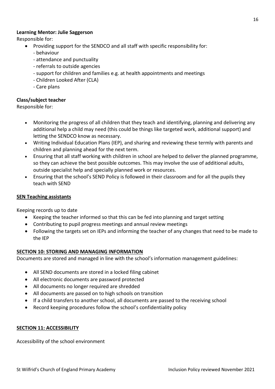#### **Learning Mentor: Julie Saggerson**

Responsible for:

- Providing support for the SENDCO and all staff with specific responsibility for:
	- behaviour
	- attendance and punctuality
	- referrals to outside agencies
	- support for children and families e.g. at health appointments and meetings
	- Children Looked After (CLA)
	- Care plans

# **Class/subject teacher**

Responsible for:

- Monitoring the progress of all children that they teach and identifying, planning and delivering any additional help a child may need (this could be things like targeted work, additional support) and letting the SENDCO know as necessary.
- Writing Individual Education Plans (IEP), and sharing and reviewing these termly with parents and children and planning ahead for the next term.
- Ensuring that all staff working with children in school are helped to deliver the planned programme, so they can achieve the best possible outcomes. This may involve the use of additional adults, outside specialist help and specially planned work or resources.
- Ensuring that the school's SEND Policy is followed in their classroom and for all the pupils they teach with SEND

#### **SEN Teaching assistants**

Keeping records up to date

- Keeping the teacher informed so that this can be fed into planning and target setting
- Contributing to pupil progress meetings and annual review meetings
- Following the targets set on IEPs and informing the teacher of any changes that need to be made to the IEP

#### **SECTION 10: STORING AND MANAGING INFORMATION**

Documents are stored and managed in line with the school's information management guidelines:

- All SEND documents are stored in a locked filing cabinet
- All electronic documents are password protected
- All documents no longer required are shredded
- All documents are passed on to high schools on transition
- If a child transfers to another school, all documents are passed to the receiving school
- Record keeping procedures follow the school's confidentiality policy

#### **SECTION 11: ACCESSIBILITY**

Accessibility of the school environment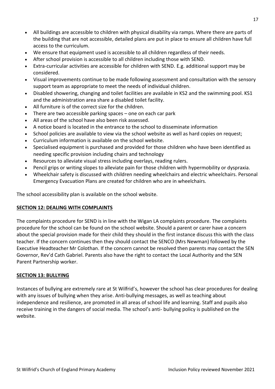- All buildings are accessible to children with physical disability via ramps. Where there are parts of the building that are not accessible, detailed plans are put in place to ensure all children have full access to the curriculum.
- We ensure that equipment used is accessible to all children regardless of their needs.
- After school provision is accessible to all children including those with SEND.
- Extra-curricular activities are accessible for children with SEND. E.g. additional support may be considered.
- Visual improvements continue to be made following assessment and consultation with the sensory support team as appropriate to meet the needs of individual children.
- Disabled showering, changing and toilet facilities are available in KS2 and the swimming pool. KS1 and the administration area share a disabled toilet facility.
- All furniture is of the correct size for the children.
- There are two accessible parking spaces one on each car park
- All areas of the school have also been risk assessed.
- A notice board is located in the entrance to the school to disseminate information
- School policies are available to view via the school website as well as hard copies on request;
- Curriculum information is available on the school website.
- Specialised equipment is purchased and provided for those children who have been identified as needing specific provision including chairs and technology
- Resources to alleviate visual stress including overlays, reading rulers.
- Pencil grips or writing slopes to alleviate pain for those children with hypermobility or dyspraxia.
- Wheelchair safety is discussed with children needing wheelchairs and electric wheelchairs. Personal Emergency Evacuation Plans are created for children who are in wheelchairs.

The school accessibility plan is available on the school website.

#### **SECTION 12: DEALING WITH COMPLAINTS**

The complaints procedure for SEND is in line with the Wigan LA complaints procedure. The complaints procedure for the school can be found on the school website. Should a parent or carer have a concern about the special provision made for their child they should in the first instance discuss this with the class teacher. If the concern continues then they should contact the SENCO (Mrs Newman) followed by the Executive Headteacher Mr Colothan. If the concern cannot be resolved then parents may contact the SEN Governor, Rev'd Cath Gabriel. Parents also have the right to contact the Local Authority and the SEN Parent Partnership worker.

#### **SECTION 13: BULLYING**

Instances of bullying are extremely rare at St Wilfrid's, however the school has clear procedures for dealing with any issues of bullying when they arise. Anti-bullying messages, as well as teaching about independence and resilience, are promoted in all areas of school life and learning. Staff and pupils also receive training in the dangers of social media. The school's anti- bullying policy is published on the website.